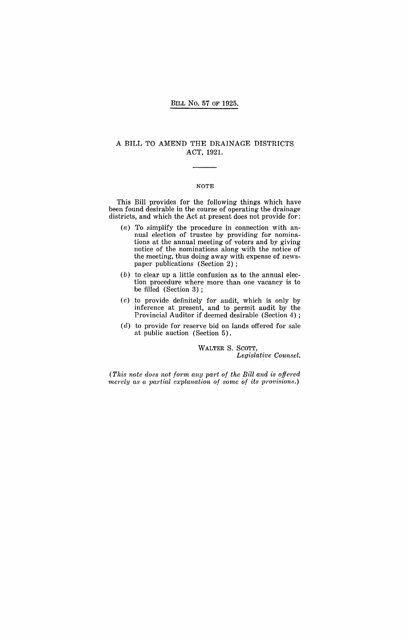#### BILL No. 57 OF 1925.

#### A BILL TO AMEND THE DRAINAGE DISTRICTS ACT, 1921.

#### NOTE

This Bill provides for the following things which have been found desirable in the course of operating the drainage districts, and which the Act at present does not provide for:

- (a) To simplify the procedure in connection with annual election of trustee by providing for nominations at the annual meeting of voters and by giving notice of the nominations along with the notice of the meeting, thus doing away with expense of newspaper publications (Section 2) ;
- $(b)$  to clear up a little confusion as to the annual election procedure where more than one vacancy is to be filled (Section 3);
- (c) to provide definitely for audit, which is only by inference at present, and to permit audit by the Provincial Auditor if deemed desirable (Section 4) ;
- $(d)$  to provide for reserve bid on lands offered for sale at public auction (Section 5).

WALTER S. SCOTT, *Legislative Counsel.* 

(This note does not form any part of the Bill and is offered *nerely as a partial explanation of some of its provisions.)*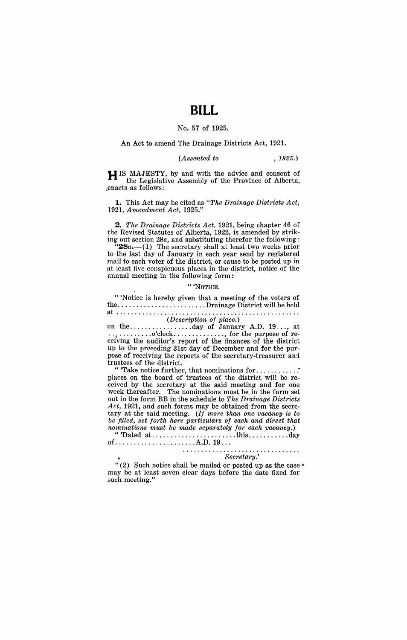# **BILL**

#### No. 57 of 1925.

#### An Act to amend The Drainage Districts Act, 1921.

#### *(Assented to* , 1925.)

H IS MAJESTY, by and with the advice and consent of the Legislative Assembly of the Province of Alberta, .enacts as follows:

**1.** This Act may. be cited as *"The Drainage Districts Act, 1921, Amendment Act, 1925."* 

*2. The Drainage Districts Act,* 1921, being chapter 46 of the Revised Statutes of Alberta, 1922, is amended by striking out section 28a, and substituting therefor the following:

" $28a$ .  $-(1)$  The secretary shall at least two weeks prior to the last day of January in each year send by registered mail to each voter of the district, or cause to be posted up in at least five conspicuous places in the district, notice of the annual meeting in the following form:

#### " 'NOTICE.

" 'Notice is hereby given that a meeting of the voters of the ........................ Drainage District will be held at ................................................. . *(Description of place.)* 

on the ................. day of January A.D. 19 ... , at  $\ldots$   $\ldots$   $\ldots$   $\ldots$   $\ldots$   $\ldots$   $\ldots$   $\ldots$  for the purpose of receiving the auditor's report of the finances of the district up to the preceding 31st day of December and for the purpose of receiving the reports of the secretary-treasurer and trustees of the district.

" Take notice further, that nominations for ...... places on the board of trustees of the district will be received by the secretary at the said meeting and for one week thereafter. The nominations must be in the form set out in the form BB in the schedule to *The Drainage Districts Act,* 1921, and such forms may be obtained from the secretary at the said meeting. *(If more than one vacancy is to be filled, set forth here particulars of each and direct that nominations must be made separately for each vacancy.)* 

"'Dated at ....................... this ........... day  $of \ldots \ldots \ldots \ldots \ldots \ldots \ldots \ldots$ . A.D.  $19 \ldots$ 

# *Sec'retary.'*

"(2) Such notice shall be mailed or posted up as the case  $*$ may be at least seven clear days before the date fixed for such meeting."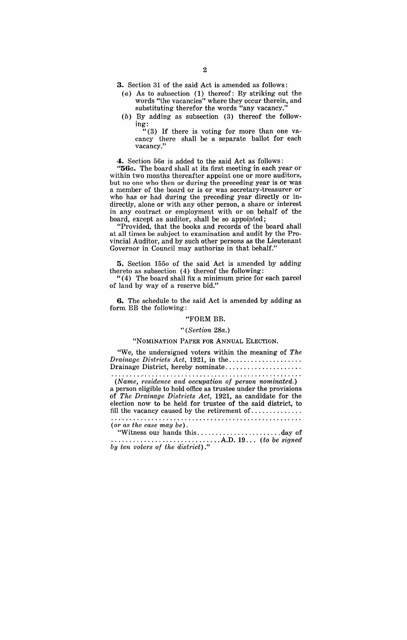- **3.** Section 31 of the said Act is amended as follows:
	- (a) As to subsection (1) thereof: By striking out the words "the vacancies" where they occur therein, and substituting therefor the words "any vacancy."
	- (b) By adding as subsection (3) thereof the followmg:

"(3) If there is voting for more than one vacancy there· shall be a separate ballot for each vacancy."

4. Section *56a* is added to the said Act as follows:

"56a. The board shall at its first meeting in each year or within two months thereafter appoint one or more auditors, but no one who then or during the preceding year is or was a member of the board or is or was secretary-treasurer or who has or had during the preceding year directly or indirectly, alone or with any other person, a share or interest in any contract or employment with or on behalf of the board, except as auditor, shall be so appointed;

"Provided, that the books and records of the board shall at all times be subject to examination and audit by the Provincial Auditor, and by such other persons as the Lieutenant Governor in Council may authorize in that behalf."

**5.** Section *1550* of the said· Act is amended by adding thereto as subsection (4) thereof the following:

"( 4) The board shall fix a minimum price for each parcel of land by way of a reserve bid."

**G.** The schedule to the said Act is amended by adding as form BB the following:

#### "FORM BB.

#### *"(Section 28a.)*

### "NOMINATION PAPER FOR ANNUAL ELECTION.

"We, the undersigned voters within the meaning of *The Drainage Districts Act, 1921, in the ...................*....... Drainage District, hereby nominate ....... > •••••••••••••

*(Name, residence and occupation of person nominated.)* 

a person eligible to hold office as trustee under the provisions of *The Drainage Districts Act,* 1921, as candidate for the election now to be held for trustee of the said district, to fill the vacancy caused by the retirement of ............. .

*(or as the case may be).* 

"Witness OUt· hands this ...................... ,day of .............................. A.D. 19 ... *(to be signed by ten voters of the district)."*